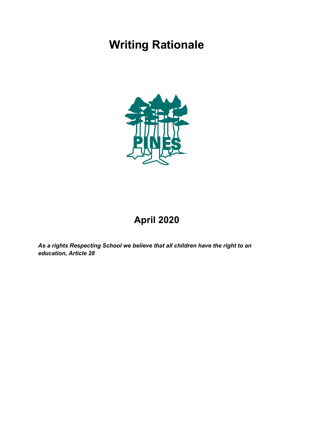# **Writing Rationale**



# **April 2020**

*As a rights Respecting School we believe that all children have the right to an education, Article 28*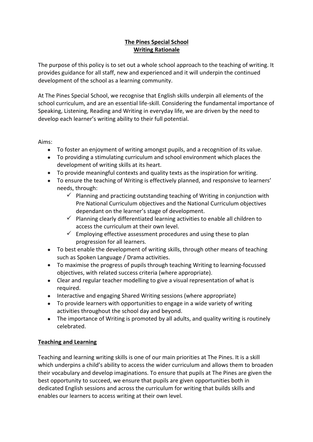# **The Pines Special School Writing Rationale**

The purpose of this policy is to set out a whole school approach to the teaching of writing. It provides guidance for all staff, new and experienced and it will underpin the continued development of the school as a learning community.

At The Pines Special School, we recognise that English skills underpin all elements of the school curriculum, and are an essential life-skill. Considering the fundamental importance of Speaking, Listening, Reading and Writing in everyday life, we are driven by the need to develop each learner's writing ability to their full potential.

Aims:

- To foster an enjoyment of writing amongst pupils, and a recognition of its value.
- To providing a stimulating curriculum and school environment which places the development of writing skills at its heart.
- To provide meaningful contexts and quality texts as the inspiration for writing.
- To ensure the teaching of Writing is effectively planned, and responsive to learners' needs, through:
	- $\checkmark$  Planning and practicing outstanding teaching of Writing in conjunction with Pre National Curriculum objectives and the National Curriculum objectives dependant on the learner's stage of development.
	- $\checkmark$  Planning clearly differentiated learning activities to enable all children to access the curriculum at their own level.
	- $\checkmark$  Employing effective assessment procedures and using these to plan progression for all learners.
- To best enable the development of writing skills, through other means of teaching such as Spoken Language / Drama activities.
- To maximise the progress of pupils through teaching Writing to learning-focussed objectives, with related success criteria (where appropriate).
- Clear and regular teacher modelling to give a visual representation of what is required.
- Interactive and engaging Shared Writing sessions (where appropriate)
- To provide learners with opportunities to engage in a wide variety of writing activities throughout the school day and beyond.
- The importance of Writing is promoted by all adults, and quality writing is routinely celebrated.

# **Teaching and Learning**

Teaching and learning writing skills is one of our main priorities at The Pines. It is a skill which underpins a child's ability to access the wider curriculum and allows them to broaden their vocabulary and develop imaginations. To ensure that pupils at The Pines are given the best opportunity to succeed, we ensure that pupils are given opportunities both in dedicated English sessions and across the curriculum for writing that builds skills and enables our learners to access writing at their own level.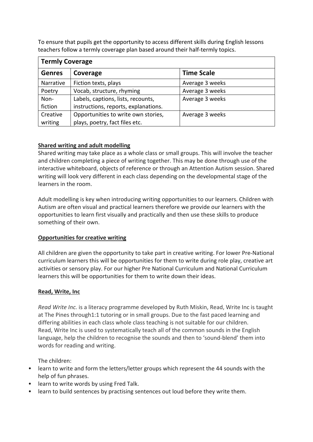To ensure that pupils get the opportunity to access different skills during English lessons teachers follow a termly coverage plan based around their half-termly topics.

| <b>Termly Coverage</b> |                                      |                   |
|------------------------|--------------------------------------|-------------------|
| <b>Genres</b>          | Coverage                             | <b>Time Scale</b> |
| Narrative              | Fiction texts, plays                 | Average 3 weeks   |
| Poetry                 | Vocab, structure, rhyming            | Average 3 weeks   |
| Non-                   | Labels, captions, lists, recounts,   | Average 3 weeks   |
| fiction                | instructions, reports, explanations. |                   |
| Creative               | Opportunities to write own stories,  | Average 3 weeks   |
| writing                | plays, poetry, fact files etc.       |                   |

#### **Shared writing and adult modelling**

Shared writing may take place as a whole class or small groups. This will involve the teacher and children completing a piece of writing together. This may be done through use of the interactive whiteboard, objects of reference or through an Attention Autism session. Shared writing will look very different in each class depending on the developmental stage of the learners in the room.

Adult modelling is key when introducing writing opportunities to our learners. Children with Autism are often visual and practical learners therefore we provide our learners with the opportunities to learn first visually and practically and then use these skills to produce something of their own.

# **Opportunities for creative writing**

All children are given the opportunity to take part in creative writing. For lower Pre-National curriculum learners this will be opportunities for them to write during role play, creative art activities or sensory play. For our higher Pre National Curriculum and National Curriculum learners this will be opportunities for them to write down their ideas.

#### **Read, Write, Inc**

*Read Write Inc.* is a literacy programme developed by Ruth Miskin, Read, Write Inc is taught at The Pines through1:1 tutoring or in small groups. Due to the fast paced learning and differing abilities in each class whole class teaching is not suitable for our children. Read, Write Inc is used to systematically teach all of the common sounds in the English language, help the children to recognise the sounds and then to 'sound-blend' them into words for reading and writing.

The children:

- learn to write and form the letters/letter groups which represent the 44 sounds with the help of fun phrases.
- learn to write words by using Fred Talk.
- learn to build sentences by practising sentences out loud before they write them.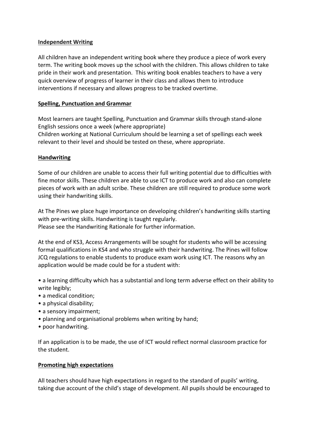#### **Independent Writing**

All children have an independent writing book where they produce a piece of work every term. The writing book moves up the school with the children. This allows children to take pride in their work and presentation. This writing book enables teachers to have a very quick overview of progress of learner in their class and allows them to introduce interventions if necessary and allows progress to be tracked overtime.

#### **Spelling, Punctuation and Grammar**

Most learners are taught Spelling, Punctuation and Grammar skills through stand-alone English sessions once a week (where appropriate) Children working at National Curriculum should be learning a set of spellings each week relevant to their level and should be tested on these, where appropriate.

#### **Handwriting**

Some of our children are unable to access their full writing potential due to difficulties with fine motor skills. These children are able to use ICT to produce work and also can complete pieces of work with an adult scribe. These children are still required to produce some work using their handwriting skills.

At The Pines we place huge importance on developing children's handwriting skills starting with pre-writing skills. Handwriting is taught regularly. Please see the Handwriting Rationale for further information.

At the end of KS3, Access Arrangements will be sought for students who will be accessing formal qualifications in KS4 and who struggle with their handwriting. The Pines will follow JCQ regulations to enable students to produce exam work using ICT. The reasons why an application would be made could be for a student with:

• a learning difficulty which has a substantial and long term adverse effect on their ability to write legibly;

- a medical condition;
- a physical disability;
- a sensory impairment;
- planning and organisational problems when writing by hand:
- poor handwriting.

If an application is to be made, the use of ICT would reflect normal classroom practice for the student.

#### **Promoting high expectations**

All teachers should have high expectations in regard to the standard of pupils' writing, taking due account of the child's stage of development. All pupils should be encouraged to